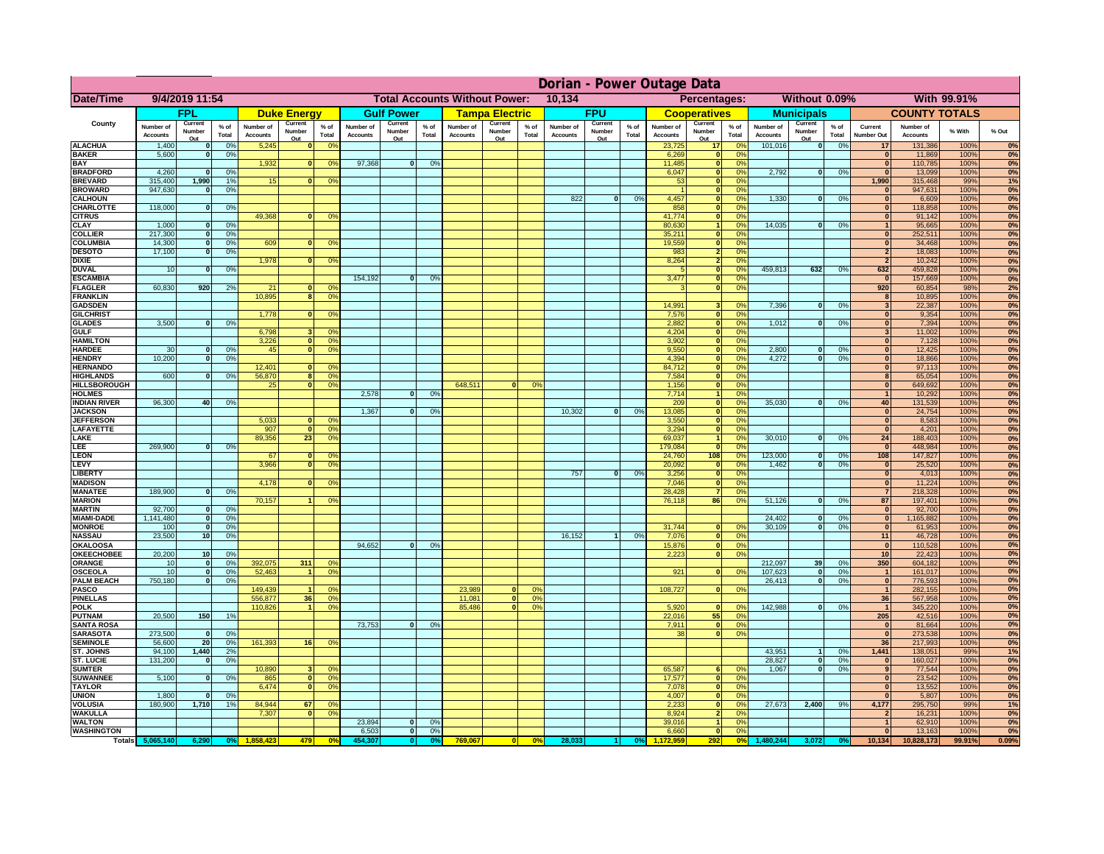|                                         |                              |                                   |                      |                              |                               |                                                             |                              |                          |                 |                              |                                              |                 | Dorian - Power Outage Data   |                          |               |                              |                                 |                                                                |                              |                               |                 |                                |                              |              |          |
|-----------------------------------------|------------------------------|-----------------------------------|----------------------|------------------------------|-------------------------------|-------------------------------------------------------------|------------------------------|--------------------------|-----------------|------------------------------|----------------------------------------------|-----------------|------------------------------|--------------------------|---------------|------------------------------|---------------------------------|----------------------------------------------------------------|------------------------------|-------------------------------|-----------------|--------------------------------|------------------------------|--------------|----------|
| Date/Time                               | 9/4/2019 11:54               |                                   |                      |                              |                               | <b>Total Accounts Without Power:</b><br>10,134              |                              |                          |                 |                              | Without 0.09%<br>With 99.91%<br>Percentages: |                 |                              |                          |               |                              |                                 |                                                                |                              |                               |                 |                                |                              |              |          |
|                                         |                              | <b>FPL</b>                        |                      |                              | <b>Duke Energy</b>            |                                                             |                              | <b>Gulf Power</b>        |                 |                              | <b>Tampa Electric</b>                        |                 |                              | <b>FPU</b>               |               |                              | <b>Cooperatives</b>             |                                                                |                              | <b>Municipals</b>             |                 |                                | <b>COUNTY TOTALS</b>         |              |          |
| County                                  | Number of<br><b>Accounts</b> | Current<br>Number<br>Out          | $%$ of<br>Total      | Number of<br><b>Accounts</b> | Current<br>Number<br>Out      | $%$ of<br>Total                                             | Number of<br><b>Accounts</b> | Current<br>Number<br>Out | $%$ of<br>Total | Number of<br><b>Accounts</b> | Current<br>Number<br>Out                     | $%$ of<br>Total | Number of<br><b>Accounts</b> | Current<br>Number<br>Out | % of<br>Total | Number of<br><b>Accounts</b> | Current<br>Number<br><u>Out</u> | $%$ of<br>Total                                                | Number of<br><b>Accounts</b> | Current<br>Number<br>Out      | $%$ of<br>Total | Current<br>Number Out          | Number of<br><b>Accounts</b> | % With       | % Out    |
| <b>ALACHUA</b>                          | 1,400                        | $\bf{0}$                          | 0%                   | 5,245                        |                               | 0 <sup>o</sup>                                              |                              |                          |                 |                              |                                              |                 |                              |                          |               | 23,725                       | 17                              | 0 <sup>6</sup>                                                 | 101,016                      | 0                             | 0%              | 17                             | 131,386                      | 100%         | 0%       |
| <b>BAKER</b><br><b>BAY</b>              | 5,600                        | $\mathbf{0}$                      | 0%                   | 1,932                        | $\bf{0}$                      | 0 <sup>o</sup>                                              | 97,368                       | $\mathbf{0}$             | 0%              |                              |                                              |                 |                              |                          |               | 6,269<br>11,485              | 0 <br> 0                        | 0%<br>0 <sup>9</sup>                                           |                              |                               |                 | $\mathbf{0}$<br>$\mathbf{0}$   | 11,869<br>110,785            | 100%<br>100% | 0%<br>0% |
| <b>BRADFORD</b>                         | 4,260                        | $\Omega$                          | 0%                   |                              |                               |                                                             |                              |                          |                 |                              |                                              |                 |                              |                          |               | 6,047                        | 0                               | 0 <sup>9</sup>                                                 | 2,792                        | 0                             | 0%              | $\Omega$                       | 13,099                       | 100%         | 0%       |
| <b>BREVARD</b>                          | 315,400                      | 1,990                             | 1 <sup>9</sup>       | 15                           | $\Omega$                      | 0 <sup>o</sup>                                              |                              |                          |                 |                              |                                              |                 |                              |                          |               | 53                           | 0                               | 0%                                                             |                              |                               |                 | 1,990                          | 315,468                      | 99%          | 1%       |
| <b>BROWARD</b><br><b>CALHOUN</b>        | 947,630                      | $\mathbf{0}$                      | 0%                   |                              |                               |                                                             |                              |                          |                 |                              |                                              |                 | 822                          | $\mathbf{0}$             | 0%            | 4,457                        | 0 <br> 0                        | 0%<br>0%                                                       | 1,330                        | $\overline{\mathbf{0}}$       | 0%              | $\mathbf{0}$<br>$\mathbf{0}$   | 947,631<br>6,609             | 100%<br>100% | 0%<br>0% |
| CHARLOTTE                               | 118,000                      | 0                                 | 0%                   |                              |                               |                                                             |                              |                          |                 |                              |                                              |                 |                              |                          |               | 858                          | 0                               | 0%                                                             |                              |                               |                 | $\mathbf{0}$                   | 118,858                      | 100%         | 0%       |
| <b>CITRUS</b>                           |                              |                                   |                      | 49,368                       | $\mathbf{0}$                  | 0 <sup>9</sup>                                              |                              |                          |                 |                              |                                              |                 |                              |                          |               | 41,774                       | 0                               | 0%                                                             |                              |                               |                 | $\Omega$                       | 91,142                       | 100%         | 0%       |
| <b>CLAY</b><br><b>COLLIER</b>           | 1,000<br>217,300             | 0                                 | 0%                   |                              |                               |                                                             |                              |                          |                 |                              |                                              |                 |                              |                          |               | 80,630<br>35,211             | $\mathbf{1}$<br> 0              | 0%<br>0%                                                       | 14,035                       | $\mathbf{0}$                  | 0%              | $\mathbf{1}$<br>$\mathbf{0}$   | 95,665<br>252,511            | 100%<br>100% | 0%<br>0% |
| <b>COLUMBIA</b>                         | 14,300                       | 0 <br> 0                          | 0%<br>0%             | 609                          | $\mathbf{0}$                  | 0 <sup>9</sup>                                              |                              |                          |                 |                              |                                              |                 |                              |                          |               | 19,559                       | $\overline{\mathbf{0}}$         | 0%                                                             |                              |                               |                 | $\overline{0}$                 | 34,468                       | 100%         | 0%       |
| <b>DESOTO</b>                           | 17,100                       | 0                                 | 0%                   |                              |                               |                                                             |                              |                          |                 |                              |                                              |                 |                              |                          |               | 983                          | $\overline{2}$                  | 0%                                                             |                              |                               |                 | $\overline{2}$                 | 18,083                       | 100%         | 0%       |
| <b>DIXIE</b><br><b>DUVAL</b>            | 10                           | $\mathbf{0}$                      |                      | 1,978                        | 0                             | 0 <sup>9</sup>                                              |                              |                          |                 |                              |                                              |                 |                              |                          |               | 8,264<br>$\sqrt{2}$          | $\overline{2}$                  | 0%                                                             | 459,813                      | 632                           |                 | $\overline{2}$<br>632          | 10,242                       | 100%         | 0%       |
| <b>ESCAMBIA</b>                         |                              |                                   | 0%                   |                              |                               |                                                             | 154.192                      | $\overline{0}$           | 0 <sup>9</sup>  |                              |                                              |                 |                              |                          |               | 3,477                        |                                 | $\overline{\mathbf{0}}$<br>0%<br>$\overline{\mathbf{0}}$<br>0% |                              |                               | 0%              | $\overline{0}$                 | 459,828<br>157,669           | 100%<br>100% | 0%<br>0% |
| <b>FLAGLER</b>                          | 60,830                       | 920                               | 2%                   | 21                           | $\Omega$                      | 0 <sup>9</sup>                                              |                              |                          |                 |                              |                                              |                 |                              |                          |               | $\mathbf{R}$                 |                                 | $\overline{\mathbf{0}}$<br>0%                                  |                              |                               |                 | 920                            | 60,854                       | 98%          | 2%       |
| <b>FRANKLIN</b>                         |                              |                                   |                      | 10.895                       | $\overline{8}$                | 0 <sup>9</sup>                                              |                              |                          |                 |                              |                                              |                 |                              |                          |               |                              |                                 |                                                                |                              |                               |                 | 8 <sup>1</sup>                 | 10,895                       | 100%         | 0%       |
| <b>GADSDEN</b><br><b>GILCHRIST</b>      |                              |                                   |                      | 1,778                        | n l                           | 0 <sup>9</sup>                                              |                              |                          |                 |                              |                                              |                 |                              |                          |               | 14.991<br>7,576              |                                 | 3 <sup>1</sup><br>0%<br> 0 <br>0%                              | 7.396                        | $\Omega$                      | 0%              | 3 <sup>1</sup><br> 0           | 22,387<br>9,354              | 100%<br>100% | 0%<br>0% |
| <b>GLADES</b>                           | 3,500                        | $\mathbf{0}$                      | 0%                   |                              |                               |                                                             |                              |                          |                 |                              |                                              |                 |                              |                          |               | 2,882                        |                                 | 0 <br>0%                                                       | 1,012                        | $\mathbf{0}$                  | 0%              | $\mathbf{0}$                   | 7,394                        | 100%         | 0%       |
| <b>GULF</b>                             |                              |                                   |                      | 6,798                        | $\overline{\mathbf{3}}$       | 0 <sup>9</sup>                                              |                              |                          |                 |                              |                                              |                 |                              |                          |               | 4,204                        |                                 | 0 <br>0%                                                       |                              |                               |                 | 3 <sup>1</sup>                 | 11,002                       | 100%         | 0%       |
| <b>HAMILTON</b><br><b>HARDEE</b>        | 30                           | 0                                 | 0%                   | 3,226<br>45                  | 0                             | $\mathbf{0}$<br>0 <sup>9</sup><br>0 <sup>9</sup>            |                              |                          |                 |                              |                                              |                 |                              |                          |               | 3,902<br>9,550               |                                 | 0 <br>0%<br>$\overline{0}$<br>0%                               | 2,800                        | $\mathbf{0}$                  | 0%              | 0 <br> 0                       | 7,128<br>12,425              | 100%<br>100% | 0%<br>0% |
| <b>HENDRY</b>                           | 10,200                       | 0                                 | 0%                   |                              |                               |                                                             |                              |                          |                 |                              |                                              |                 |                              |                          |               | 4,394                        |                                 | $\overline{0}$<br>0%                                           | 4,272                        | $\overline{0}$                | 0%              | 0                              | 18,866                       | 100%         | 0%       |
| <b>HERNANDO</b>                         |                              |                                   |                      | 12,401                       | $\mathbf{0}$                  | $^{\circ}$                                                  |                              |                          |                 |                              |                                              |                 |                              |                          |               | 84,712                       |                                 | $\overline{0}$<br>0%                                           |                              |                               |                 | 0                              | 97,113                       | 100%         | 0%       |
| <b>HIGHLANDS</b><br><b>HILLSBOROUGH</b> | 600                          | $\Omega$                          | 0%                   | 56,870<br>25                 | 0                             | $\overline{\mathbf{8}}$<br>0 <sup>9</sup><br>0 <sup>9</sup> |                              |                          |                 | 648.511                      |                                              | 0°              |                              |                          |               | 7,584<br>1,156               |                                 | $\overline{0}$<br>0%<br> 0 <br>0%                              |                              |                               |                 | $\overline{8}$<br> 0           | 65,054<br>649,692            | 100%<br>100% | 0%<br>0% |
| <b>HOLMES</b>                           |                              |                                   |                      |                              |                               |                                                             | 2.578                        | $\overline{0}$           | 0%              |                              |                                              |                 |                              |                          |               | 7,714                        |                                 | 1 <sup>1</sup><br>0%                                           |                              |                               |                 | $\mathbf{1}$                   | 10,292                       | 100%         | 0%       |
| <b>INDIAN RIVER</b>                     | 96,300                       | 40                                | 0%                   |                              |                               |                                                             |                              |                          |                 |                              |                                              |                 |                              |                          |               | 209                          |                                 | 0 <br>0%                                                       | 35,030                       | 0                             | 0%              | 40                             | 131,539                      | 100%         | 0%       |
| <b>JACKSON</b><br><b>JEFFERSON</b>      |                              |                                   |                      |                              | $\Omega$                      | 0 <sup>o</sup>                                              | 1,367                        | 0                        | 0 <sup>9</sup>  |                              |                                              |                 | 10,302                       | 0                        | 0%            | 13,085                       |                                 | 0 <br>0%<br>0%                                                 |                              |                               |                 | 0 <br> 0                       | 24,754                       | 100%         | 0%<br>0% |
| <b>LAFAYETTE</b>                        |                              |                                   |                      | 5,033<br>907                 | 0                             | 0 <sup>9</sup>                                              |                              |                          |                 |                              |                                              |                 |                              |                          |               | 3,550<br>3,294               |                                 | 0 <br> 0 <br>0%                                                |                              |                               |                 | 0                              | 8,583<br>4,201               | 100%<br>100% | 0%       |
| LAKE                                    |                              |                                   |                      | 89,356                       | 23                            | 0 <sup>9</sup>                                              |                              |                          |                 |                              |                                              |                 |                              |                          |               | 69,037                       |                                 | 1<br>0%                                                        | 30,010                       | $\mathbf{0}$                  | 0%              | 24                             | 188,403                      | 100%         | 0%       |
| LEE<br><b>LEON</b>                      | 269,900                      | $\Omega$                          | 0%                   | 67                           | $\Omega$                      | $^{\circ}$                                                  |                              |                          |                 |                              |                                              |                 |                              |                          |               | 179,084                      | 108                             | 0 <br>0%<br>0%                                                 | 123,000                      | ol                            |                 | 0                              | 448,984                      | 100%<br>100% | 0%<br>0% |
| <b>LEVY</b>                             |                              |                                   |                      | 3,966                        | $\Omega$                      | 0 <sup>9</sup>                                              |                              |                          |                 |                              |                                              |                 |                              |                          |               | 24,760<br>20,092             | 0                               | 0%                                                             | 1,462                        | $\Omega$                      | 0%<br>0%        | 108<br> 0                      | 147,827<br>25,520            | 100%         | 0%       |
| <b>LIBERTY</b>                          |                              |                                   |                      |                              |                               |                                                             |                              |                          |                 |                              |                                              |                 | 757                          | $\mathbf{0}$             | 0%            | 3,256                        |                                 | 0%<br> 0                                                       |                              |                               |                 | 0                              | 4,013                        | 100%         | 0%       |
| <b>MADISON</b>                          |                              |                                   |                      | 4,178                        | $\Omega$                      | 0 <sup>9</sup>                                              |                              |                          |                 |                              |                                              |                 |                              |                          |               | 7,046                        |                                 | 0%<br> 0                                                       |                              |                               |                 | 0                              | 11,224                       | 100%         | 0%       |
| <b>MANATEE</b><br><b>MARION</b>         | 189,900                      | $\Omega$                          | 0%                   | 70,157                       |                               | 0 <sup>9</sup>                                              |                              |                          |                 |                              |                                              |                 |                              |                          |               | 28,428<br>76,118             | 86                              | 0%<br>$\mathbf{z}$<br>0%                                       | 51,126                       | $\overline{0}$                | 0%              | $\overline{7}$<br>87           | 218,328<br>197,401           | 100%<br>100% | 0%<br>0% |
| <b>MARTIN</b>                           | 92,700                       | 0                                 | 0%                   |                              |                               |                                                             |                              |                          |                 |                              |                                              |                 |                              |                          |               |                              |                                 |                                                                |                              |                               |                 | 0                              | 92,700                       | 100%         | 0%       |
| <b>MIAMI-DADE</b>                       | 1,141,480                    | 0                                 | 0%                   |                              |                               |                                                             |                              |                          |                 |                              |                                              |                 |                              |                          |               |                              |                                 | $\Omega$ <sup>o</sup>                                          | 24,402                       | 0                             | 0%<br>0%        | 0                              | 1,165,882                    | 100%<br>100% | 0%       |
| <b>MONROE</b><br><b>NASSAU</b>          | 100<br>23,500                | $\overline{0}$<br>10 <sup>1</sup> | 0%<br>0%             |                              |                               |                                                             |                              |                          |                 |                              |                                              |                 | 16,152                       | $\vert$ 1                | 0%            | 31,744<br>7,076              | 0                               | 0 <br>0%                                                       | 30,109                       | 0                             |                 | 0 <br>11                       | 61,953<br>46,728             | 100%         | 0%<br>0% |
| <b>OKALOOSA</b>                         |                              |                                   |                      |                              |                               |                                                             | 94,652                       | $\mathbf{0}$             | 0%              |                              |                                              |                 |                              |                          |               | 15,876                       |                                 | 0 <br>0%                                                       |                              |                               |                 | 0                              | 110,528                      | 100%         | 0%       |
| <b>OKEECHOBEE</b>                       | 20,200                       | 10 <sup>1</sup>                   | 0%                   |                              |                               |                                                             |                              |                          |                 |                              |                                              |                 |                              |                          |               | 2,223                        |                                 | 0%<br> 0                                                       |                              |                               |                 | 10 <sup>1</sup>                | 22,423                       | 100%         | 0%       |
| <b>ORANGE</b><br><b>OSCEOLA</b>         | 10<br>10                     | 0 <br> 0                          | 0%<br>0 <sup>9</sup> | 392,075<br>52,463            | 311                           | 0 <sup>o</sup><br>0 <sup>9</sup>                            |                              |                          |                 |                              |                                              |                 |                              |                          |               | 921                          |                                 | 0 <br>0%                                                       | 212,097<br>107,623           | 39<br>$\overline{\mathbf{0}}$ | 0%<br>0%        | 350<br>$\vert$ 1               | 604,182<br>161,017           | 100%<br>100% | 0%<br>0% |
| <b>PALM BEACH</b>                       | 750,180                      | 0                                 | 0%                   |                              |                               |                                                             |                              |                          |                 |                              |                                              |                 |                              |                          |               |                              |                                 |                                                                | 26,413                       | 0                             | 0%              | 0                              | 776,593                      | 100%         | 0%       |
| <b>PASCO</b>                            |                              |                                   |                      | 149,439                      | $\mathbf{1}$                  | 0 <sup>o</sup>                                              |                              |                          |                 | 23,989                       | $\Omega$                                     | 0%              |                              |                          |               | 108,727                      |                                 | 0 <br>0%                                                       |                              |                               |                 | 1                              | 282,155                      | 100%         | 0%       |
| <b>PINELLAS</b><br><b>POLK</b>          |                              |                                   |                      | 556,877<br>110,826           | 36<br>$\blacksquare$          | 0 <sup>9</sup><br>0 <sup>9</sup>                            |                              |                          |                 | 11,081<br>85,486             | $\mathbf{0}$<br>$\mathbf{0}$                 | 0%<br>0%        |                              |                          |               | 5,920                        |                                 | 0 <br>0 <sup>9</sup>                                           | 142,988                      | 0                             | 0%              | 36<br>$\overline{1}$           | 567,958<br>345,220           | 100%<br>100% | 0%<br>0% |
| <b>PUTNAM</b>                           | 20,500                       | 150                               | 1%                   |                              |                               |                                                             |                              |                          |                 |                              |                                              |                 |                              |                          |               | 22,016                       | 55                              | 0%                                                             |                              |                               |                 | 205                            | 42,516                       | 100%         | 0%       |
| <b>SANTA ROSA</b>                       |                              |                                   |                      |                              |                               |                                                             | 73,753                       | $\mathbf{0}$             | 0%              |                              |                                              |                 |                              |                          |               | 7,911                        |                                 | 0 <br>0%                                                       |                              |                               |                 | $\Omega$                       | 81,664                       | 100%         | 0%       |
| <b>SARASOTA</b><br><b>SEMINOLE</b>      | 273,500<br>56,600            | $\mathbf{0}$<br>20                | 0%<br>0%             | 161,393                      | 16                            | 0 <sup>9</sup>                                              |                              |                          |                 |                              |                                              |                 |                              |                          |               | 38                           |                                 | 0 <br>0%                                                       |                              |                               |                 | 0 <br>36 <sup>1</sup>          | 273,538<br>217,993           | 100%<br>100% | 0%<br>0% |
| ST. JOHNS                               | 94.100                       | 1,440                             | 2%                   |                              |                               |                                                             |                              |                          |                 |                              |                                              |                 |                              |                          |               |                              |                                 |                                                                | 43.951                       | 11                            | 0%              | 1.441                          | 138,051                      | 99%          | 1%       |
| <b>ST. LUCIE</b>                        | 131,200                      | $\mathbf{0}$                      | 0%                   |                              |                               |                                                             |                              |                          |                 |                              |                                              |                 |                              |                          |               |                              |                                 |                                                                | 28.827                       | -ol                           | 0%              | 0                              | 160.027                      | 100%         | 0%       |
| <b>SUMTER</b><br><b>SUWANNEE</b>        | 5,100                        | 0                                 | 0%                   | 10,890<br>865                | $\overline{\mathbf{3}}$<br> 0 | 0 <sup>9</sup><br>0 <sup>o</sup>                            |                              |                          |                 |                              |                                              |                 |                              |                          |               | 65,587<br>17,577             |                                 | 6<br>0%<br> 0 <br>0%                                           | 1,067                        | 0                             | 0%              | 9 <sup>1</sup><br>$\mathbf{0}$ | 77,544<br>23,542             | 100%<br>100% | 0%<br>0% |
| <b>TAYLOR</b>                           |                              |                                   |                      | 6,474                        | 0                             | 0 <sup>9</sup>                                              |                              |                          |                 |                              |                                              |                 |                              |                          |               | 7,078                        |                                 | 0 <br>0%                                                       |                              |                               |                 | $\bf{0}$                       | 13,552                       | 100%         | 0%       |
| <b>UNION</b>                            | 1,800                        | $\mathbf 0$                       | 0%                   |                              |                               |                                                             |                              |                          |                 |                              |                                              |                 |                              |                          |               | 4,007                        |                                 | 0 <br>0%                                                       |                              |                               |                 | $\bf{0}$                       | 5,807                        | 100%         | 0%       |
| <b>VOLUSIA</b><br><b>WAKULLA</b>        | 180,900                      | 1,710                             | 1%                   | 84,944<br>7,307              | 67<br>$\Omega$                | $\mathbf{0}$<br>0 <sup>9</sup>                              |                              |                          |                 |                              |                                              |                 |                              |                          |               | 2,233<br>8,924               | 2                               | 0 <br>0%<br>0%                                                 | 27,673                       | 2,400                         | 9%              | 4,177<br>$\overline{2}$        | 295,750<br>16,231            | 99%<br>100%  | 1%<br>0% |
| <b>WALTON</b>                           |                              |                                   |                      |                              |                               |                                                             | 23,894                       | $\mathbf{0}$             | 0%              |                              |                                              |                 |                              |                          |               | 39,016                       |                                 | 1<br>0%                                                        |                              |                               |                 |                                | 62,910                       | 100%         | 0%       |
| <b>WASHINGTON</b>                       |                              |                                   |                      |                              |                               |                                                             | 6,503                        | 0                        | 0%              |                              |                                              |                 |                              |                          |               | 6,660                        |                                 | 0 <br>0%                                                       |                              |                               |                 | $\mathbf{0}$                   | 13,163                       | 100%         | 0%       |
| <b>Totals</b>                           | 5,065,140                    | 6,290                             |                      |                              | 479                           | 0 <sup>6</sup>                                              | 454.30                       | $\bullet$                |                 | 769,067                      | 0                                            | 0%              | 28,033                       |                          |               |                              |                                 | 0%                                                             |                              |                               |                 | 10,134                         | 10,828,173                   | 99.91%       | 0.09%    |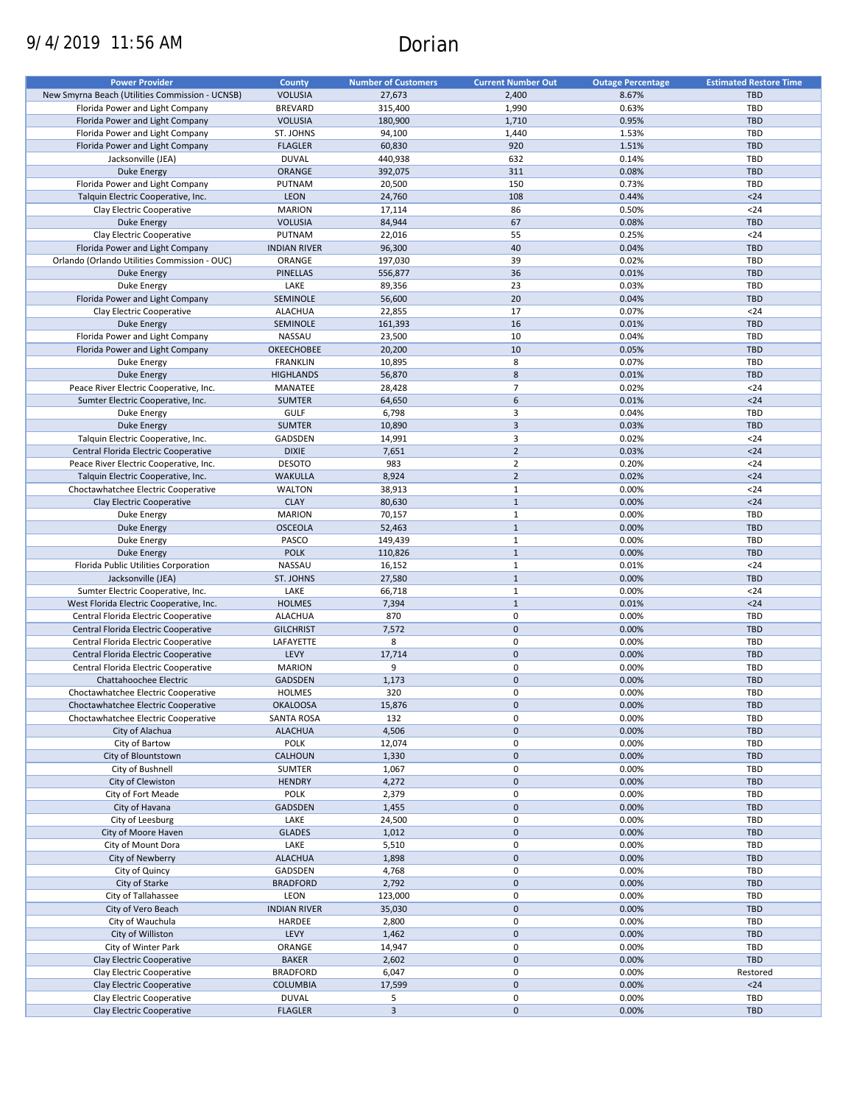# 9/4/2019 11:56 AM Dorian

| <b>Power Provider</b>                           | County              | <b>Number of Customers</b> | <b>Current Number Out</b> | <b>Outage Percentage</b> | <b>Estimated Restore Time</b> |
|-------------------------------------------------|---------------------|----------------------------|---------------------------|--------------------------|-------------------------------|
|                                                 |                     |                            |                           |                          |                               |
| New Smyrna Beach (Utilities Commission - UCNSB) | <b>VOLUSIA</b>      | 27,673                     | 2,400                     | 8.67%                    | <b>TBD</b>                    |
| Florida Power and Light Company                 | <b>BREVARD</b>      | 315,400                    | 1,990                     | 0.63%                    | TBD                           |
| Florida Power and Light Company                 | <b>VOLUSIA</b>      | 180,900                    | 1,710                     | 0.95%                    | <b>TBD</b>                    |
| Florida Power and Light Company                 | ST. JOHNS           | 94,100                     | 1,440                     | 1.53%                    | TBD                           |
| Florida Power and Light Company                 | <b>FLAGLER</b>      | 60,830                     | 920                       | 1.51%                    | <b>TBD</b>                    |
| Jacksonville (JEA)                              | <b>DUVAL</b>        | 440,938                    | 632                       | 0.14%                    | TBD                           |
| <b>Duke Energy</b>                              | ORANGE              | 392,075                    | 311                       | 0.08%                    | <b>TBD</b>                    |
|                                                 |                     |                            |                           |                          |                               |
| Florida Power and Light Company                 | PUTNAM              | 20,500                     | 150                       | 0.73%                    | TBD                           |
| Talquin Electric Cooperative, Inc.              | <b>LEON</b>         | 24,760                     | 108                       | 0.44%                    | $24$                          |
| Clay Electric Cooperative                       | <b>MARION</b>       | 17,114                     | 86                        | 0.50%                    | $24$                          |
| <b>Duke Energy</b>                              | <b>VOLUSIA</b>      | 84,944                     | 67                        | 0.08%                    | <b>TBD</b>                    |
| Clay Electric Cooperative                       | PUTNAM              | 22,016                     | 55                        | 0.25%                    | $24$                          |
| Florida Power and Light Company                 | <b>INDIAN RIVER</b> | 96,300                     | 40                        | 0.04%                    | <b>TBD</b>                    |
| Orlando (Orlando Utilities Commission - OUC)    | ORANGE              | 197,030                    | 39                        | 0.02%                    | TBD                           |
|                                                 |                     |                            |                           |                          |                               |
| <b>Duke Energy</b>                              | <b>PINELLAS</b>     | 556,877                    | 36                        | 0.01%                    | <b>TBD</b>                    |
| Duke Energy                                     | LAKE                | 89,356                     | 23                        | 0.03%                    | TBD                           |
| Florida Power and Light Company                 | SEMINOLE            | 56,600                     | 20                        | 0.04%                    | <b>TBD</b>                    |
| Clay Electric Cooperative                       | <b>ALACHUA</b>      | 22,855                     | 17                        | 0.07%                    | $24$                          |
| <b>Duke Energy</b>                              | SEMINOLE            | 161,393                    | 16                        | 0.01%                    | <b>TBD</b>                    |
| Florida Power and Light Company                 | NASSAU              | 23,500                     | 10                        | 0.04%                    | TBD                           |
|                                                 |                     |                            |                           |                          |                               |
| Florida Power and Light Company                 | <b>OKEECHOBEE</b>   | 20,200                     | 10                        | 0.05%                    | <b>TBD</b>                    |
| Duke Energy                                     | <b>FRANKLIN</b>     | 10,895                     | 8                         | 0.07%                    | <b>TBD</b>                    |
| <b>Duke Energy</b>                              | <b>HIGHLANDS</b>    | 56,870                     | $\bf 8$                   | 0.01%                    | <b>TBD</b>                    |
| Peace River Electric Cooperative, Inc.          | MANATEE             | 28,428                     | $\overline{7}$            | 0.02%                    | $24$                          |
| Sumter Electric Cooperative, Inc.               | <b>SUMTER</b>       | 64,650                     | 6                         | 0.01%                    | $24$                          |
| Duke Energy                                     | <b>GULF</b>         | 6,798                      | 3                         | 0.04%                    | <b>TBD</b>                    |
| <b>Duke Energy</b>                              | <b>SUMTER</b>       | 10,890                     | $\mathsf 3$               | 0.03%                    | <b>TBD</b>                    |
|                                                 |                     |                            |                           |                          |                               |
| Talquin Electric Cooperative, Inc.              | GADSDEN             | 14,991                     | 3                         | 0.02%                    | $24$                          |
| Central Florida Electric Cooperative            | <b>DIXIE</b>        | 7,651                      | $\overline{2}$            | 0.03%                    | $24$                          |
| Peace River Electric Cooperative, Inc.          | <b>DESOTO</b>       | 983                        | $\overline{2}$            | 0.20%                    | $24$                          |
| Talquin Electric Cooperative, Inc.              | <b>WAKULLA</b>      | 8,924                      | $\overline{2}$            | 0.02%                    | $24$                          |
| Choctawhatchee Electric Cooperative             | <b>WALTON</b>       | 38,913                     | $1\,$                     | 0.00%                    | $24$                          |
|                                                 | <b>CLAY</b>         | 80,630                     | $\mathbf{1}$              | 0.00%                    | $24$                          |
| Clay Electric Cooperative                       |                     |                            |                           |                          |                               |
| Duke Energy                                     | <b>MARION</b>       | 70,157                     | $\mathbf{1}$              | 0.00%                    | TBD                           |
| <b>Duke Energy</b>                              | <b>OSCEOLA</b>      | 52,463                     | $\mathbf{1}$              | 0.00%                    | <b>TBD</b>                    |
| Duke Energy                                     | PASCO               | 149,439                    | $\mathbf{1}$              | 0.00%                    | TBD                           |
| <b>Duke Energy</b>                              | <b>POLK</b>         | 110,826                    | $\mathbf{1}$              | 0.00%                    | <b>TBD</b>                    |
| Florida Public Utilities Corporation            | NASSAU              | 16,152                     | $\mathbf 1$               | 0.01%                    | $24$                          |
| Jacksonville (JEA)                              | ST. JOHNS           | 27,580                     | $\mathbf{1}$              | 0.00%                    | <b>TBD</b>                    |
| Sumter Electric Cooperative, Inc.               | LAKE                |                            | $\mathbf{1}$              | 0.00%                    | $24$                          |
|                                                 |                     | 66,718                     |                           |                          |                               |
| West Florida Electric Cooperative, Inc.         | <b>HOLMES</b>       | 7,394                      | $\mathbf{1}$              | 0.01%                    | $24$                          |
| Central Florida Electric Cooperative            | <b>ALACHUA</b>      | 870                        | 0                         | 0.00%                    | <b>TBD</b>                    |
| Central Florida Electric Cooperative            | <b>GILCHRIST</b>    | 7,572                      | $\mathbf{0}$              | 0.00%                    | <b>TBD</b>                    |
| Central Florida Electric Cooperative            | LAFAYETTE           | 8                          | 0                         | 0.00%                    | TBD                           |
| Central Florida Electric Cooperative            | LEVY                | 17,714                     | $\pmb{0}$                 | 0.00%                    | <b>TBD</b>                    |
| Central Florida Electric Cooperative            | <b>MARION</b>       | 9                          | $\pmb{0}$                 | 0.00%                    | TBD                           |
| Chattahoochee Electric                          | <b>GADSDEN</b>      |                            | $\pmb{0}$                 |                          | <b>TBD</b>                    |
|                                                 |                     | 1,173                      |                           | 0.00%                    |                               |
| Choctawhatchee Electric Cooperative             | HOLMES              | 320                        | $\mathbf 0$               | 0.00%                    | TBD                           |
| Choctawhatchee Electric Cooperative             | <b>OKALOOSA</b>     | 15,876                     | $\pmb{0}$                 | 0.00%                    | <b>TBD</b>                    |
| Choctawhatchee Electric Cooperative             | SANTA ROSA          | 132                        | 0                         | 0.00%                    | TBD                           |
| City of Alachua                                 | <b>ALACHUA</b>      | 4,506                      | $\pmb{0}$                 | 0.00%                    | TBD                           |
| City of Bartow                                  | POLK                | 12,074                     | 0                         | 0.00%                    | TBD                           |
| City of Blountstown                             | CALHOUN             | 1,330                      | $\mathbf 0$               | 0.00%                    | <b>TBD</b>                    |
| City of Bushnell                                | SUMTER              | 1,067                      | 0                         | 0.00%                    | TBD                           |
|                                                 |                     |                            |                           |                          |                               |
| City of Clewiston                               | <b>HENDRY</b>       | 4,272                      | $\pmb{0}$                 | 0.00%                    | <b>TBD</b>                    |
| City of Fort Meade                              | POLK                | 2,379                      | $\pmb{0}$                 | 0.00%                    | TBD                           |
| City of Havana                                  | GADSDEN             | 1,455                      | $\pmb{0}$                 | 0.00%                    | <b>TBD</b>                    |
| City of Leesburg                                | LAKE                | 24,500                     | $\pmb{0}$                 | 0.00%                    | TBD                           |
| City of Moore Haven                             | <b>GLADES</b>       | 1,012                      | $\pmb{0}$                 | 0.00%                    | <b>TBD</b>                    |
| City of Mount Dora                              | LAKE                | 5,510                      | $\pmb{0}$                 | 0.00%                    | TBD                           |
| City of Newberry                                | <b>ALACHUA</b>      | 1,898                      | $\pmb{0}$                 | 0.00%                    | <b>TBD</b>                    |
|                                                 |                     |                            |                           |                          |                               |
| City of Quincy                                  | GADSDEN             | 4,768                      | $\pmb{0}$                 | 0.00%                    | TBD                           |
| City of Starke                                  | <b>BRADFORD</b>     | 2,792                      | $\pmb{0}$                 | 0.00%                    | TBD                           |
| City of Tallahassee                             | LEON                | 123,000                    | 0                         | 0.00%                    | TBD                           |
| City of Vero Beach                              | <b>INDIAN RIVER</b> | 35,030                     | $\mathbf 0$               | 0.00%                    | TBD                           |
| City of Wauchula                                | HARDEE              | 2,800                      | $\pmb{0}$                 | 0.00%                    | <b>TBD</b>                    |
| City of Williston                               | LEVY                | 1,462                      | $\pmb{0}$                 | 0.00%                    | TBD                           |
|                                                 |                     |                            |                           |                          |                               |
| City of Winter Park                             | ORANGE              | 14,947                     | $\pmb{0}$                 | 0.00%                    | TBD                           |
| Clay Electric Cooperative                       | <b>BAKER</b>        | 2,602                      | $\pmb{0}$                 | 0.00%                    | TBD                           |
| Clay Electric Cooperative                       | <b>BRADFORD</b>     | 6,047                      | $\pmb{0}$                 | 0.00%                    | Restored                      |
| Clay Electric Cooperative                       | <b>COLUMBIA</b>     | 17,599                     | $\pmb{0}$                 | 0.00%                    | $24$                          |
| Clay Electric Cooperative                       | <b>DUVAL</b>        | 5                          | $\pmb{0}$                 | 0.00%                    | TBD                           |
| Clay Electric Cooperative                       | <b>FLAGLER</b>      | $\mathbf{3}$               | $\pmb{0}$                 | 0.00%                    | TBD                           |
|                                                 |                     |                            |                           |                          |                               |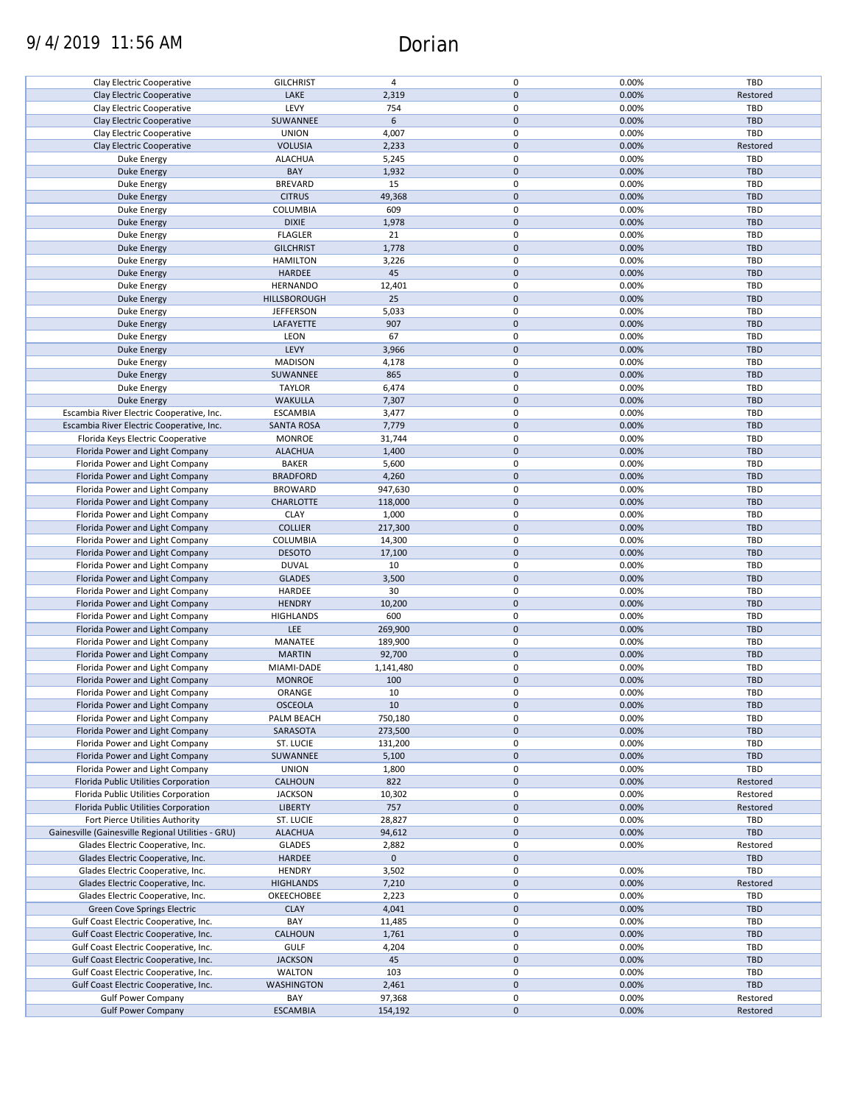# 9/4/2019 11:56 AM Dorian

| Clay Electric Cooperative                          | <b>GILCHRIST</b>    | 4           | 0           | 0.00% | <b>TBD</b> |
|----------------------------------------------------|---------------------|-------------|-------------|-------|------------|
|                                                    |                     |             |             |       |            |
| Clay Electric Cooperative                          | LAKE                | 2,319       | $\mathbf 0$ | 0.00% | Restored   |
| Clay Electric Cooperative                          | LEVY                | 754         | 0           | 0.00% | <b>TBD</b> |
| Clay Electric Cooperative                          | SUWANNEE            | 6           | $\mathbf 0$ | 0.00% | <b>TBD</b> |
| Clay Electric Cooperative                          | <b>UNION</b>        | 4,007       | 0           | 0.00% | <b>TBD</b> |
| Clay Electric Cooperative                          | <b>VOLUSIA</b>      | 2,233       | $\mathbf 0$ | 0.00% | Restored   |
|                                                    | <b>ALACHUA</b>      | 5,245       | 0           | 0.00% | <b>TBD</b> |
| Duke Energy                                        |                     |             |             |       |            |
| <b>Duke Energy</b>                                 | BAY                 | 1,932       | $\mathbf 0$ | 0.00% | <b>TBD</b> |
| Duke Energy                                        | <b>BREVARD</b>      | 15          | 0           | 0.00% | TBD        |
| <b>Duke Energy</b>                                 | <b>CITRUS</b>       | 49,368      | $\mathbf 0$ | 0.00% | <b>TBD</b> |
| Duke Energy                                        | COLUMBIA            | 609         | 0           | 0.00% | TBD        |
| <b>Duke Energy</b>                                 | <b>DIXIE</b>        | 1,978       | $\mathbf 0$ | 0.00% | <b>TBD</b> |
| Duke Energy                                        | <b>FLAGLER</b>      | 21          | 0           | 0.00% | <b>TBD</b> |
| Duke Energy                                        | <b>GILCHRIST</b>    | 1,778       | $\mathbf 0$ | 0.00% | <b>TBD</b> |
|                                                    |                     |             |             |       |            |
| Duke Energy                                        | <b>HAMILTON</b>     | 3,226       | 0           | 0.00% | TBD        |
| <b>Duke Energy</b>                                 | <b>HARDEE</b>       | 45          | $\mathbf 0$ | 0.00% | <b>TBD</b> |
| Duke Energy                                        | <b>HERNANDO</b>     | 12,401      | 0           | 0.00% | <b>TBD</b> |
| <b>Duke Energy</b>                                 | <b>HILLSBOROUGH</b> | 25          | $\pmb{0}$   | 0.00% | <b>TBD</b> |
| Duke Energy                                        | <b>JEFFERSON</b>    | 5,033       | $\pmb{0}$   | 0.00% | TBD        |
| <b>Duke Energy</b>                                 | LAFAYETTE           | 907         | $\pmb{0}$   | 0.00% | TBD        |
| Duke Energy                                        | LEON                | 67          | $\mathbf 0$ | 0.00% | TBD        |
|                                                    |                     |             |             |       |            |
| <b>Duke Energy</b>                                 | LEVY                | 3,966       | $\mathbf 0$ | 0.00% | <b>TBD</b> |
| Duke Energy                                        | <b>MADISON</b>      | 4,178       | $\mathbf 0$ | 0.00% | TBD        |
| <b>Duke Energy</b>                                 | SUWANNEE            | 865         | $\mathbf 0$ | 0.00% | <b>TBD</b> |
| Duke Energy                                        | <b>TAYLOR</b>       | 6,474       | 0           | 0.00% | <b>TBD</b> |
| <b>Duke Energy</b>                                 | <b>WAKULLA</b>      | 7,307       | $\pmb{0}$   | 0.00% | <b>TBD</b> |
| Escambia River Electric Cooperative, Inc.          | <b>ESCAMBIA</b>     | 3,477       | 0           | 0.00% | <b>TBD</b> |
| Escambia River Electric Cooperative, Inc.          | <b>SANTA ROSA</b>   | 7,779       | $\mathbf 0$ | 0.00% | <b>TBD</b> |
| Florida Keys Electric Cooperative                  | <b>MONROE</b>       | 31,744      | 0           | 0.00% | TBD        |
|                                                    |                     |             |             |       |            |
| Florida Power and Light Company                    | <b>ALACHUA</b>      | 1,400       | $\mathbf 0$ | 0.00% | <b>TBD</b> |
| Florida Power and Light Company                    | <b>BAKER</b>        | 5,600       | 0           | 0.00% | <b>TBD</b> |
| Florida Power and Light Company                    | <b>BRADFORD</b>     | 4,260       | $\mathbf 0$ | 0.00% | <b>TBD</b> |
| Florida Power and Light Company                    | <b>BROWARD</b>      | 947,630     | 0           | 0.00% | TBD        |
| Florida Power and Light Company                    | <b>CHARLOTTE</b>    | 118,000     | $\mathbf 0$ | 0.00% | <b>TBD</b> |
| Florida Power and Light Company                    | <b>CLAY</b>         | 1,000       | 0           | 0.00% | <b>TBD</b> |
| Florida Power and Light Company                    | <b>COLLIER</b>      | 217,300     | $\mathbf 0$ | 0.00% | <b>TBD</b> |
|                                                    | COLUMBIA            |             | 0           | 0.00% | <b>TBD</b> |
| Florida Power and Light Company                    |                     | 14,300      |             |       |            |
| Florida Power and Light Company                    | <b>DESOTO</b>       | 17,100      | $\pmb{0}$   | 0.00% | <b>TBD</b> |
| Florida Power and Light Company                    | <b>DUVAL</b>        | 10          | 0           | 0.00% | <b>TBD</b> |
| Florida Power and Light Company                    | <b>GLADES</b>       | 3,500       | $\mathbf 0$ | 0.00% | <b>TBD</b> |
| Florida Power and Light Company                    | HARDEE              | 30          | $\mathbf 0$ | 0.00% | TBD        |
| Florida Power and Light Company                    | <b>HENDRY</b>       | 10,200      | $\mathbf 0$ | 0.00% | <b>TBD</b> |
| Florida Power and Light Company                    | <b>HIGHLANDS</b>    | 600         | 0           | 0.00% | TBD        |
| Florida Power and Light Company                    | <b>LEE</b>          | 269,900     | $\pmb{0}$   | 0.00% | <b>TBD</b> |
|                                                    |                     |             | 0           |       |            |
| Florida Power and Light Company                    | MANATEE             | 189,900     |             | 0.00% | TBD        |
| Florida Power and Light Company                    | <b>MARTIN</b>       | 92,700      | $\mathbf 0$ | 0.00% | <b>TBD</b> |
| Florida Power and Light Company                    | MIAMI-DADE          | 1,141,480   | 0           | 0.00% | <b>TBD</b> |
| Florida Power and Light Company                    | <b>MONROE</b>       | 100         | $\mathbf 0$ | 0.00% | <b>TBD</b> |
| Florida Power and Light Company                    | ORANGE              | 10          | 0           | 0.00% | <b>TBD</b> |
| Florida Power and Light Company                    | <b>OSCEOLA</b>      | 10          | $\pmb{0}$   | 0.00% | <b>TBD</b> |
| Florida Power and Light Company                    | PALM BEACH          | 750,180     | 0           | 0.00% | TBD        |
| Florida Power and Light Company                    | SARASOTA            |             | $\mathbf 0$ | 0.00% | <b>TBD</b> |
|                                                    |                     | 273,500     | 0           |       |            |
| Florida Power and Light Company                    | ST. LUCIE           | 131,200     |             | 0.00% | TBD        |
| Florida Power and Light Company                    | SUWANNEE            | 5,100       | $\mathbf 0$ | 0.00% | <b>TBD</b> |
| Florida Power and Light Company                    | <b>UNION</b>        | 1,800       | 0           | 0.00% | TBD        |
| Florida Public Utilities Corporation               | <b>CALHOUN</b>      | 822         | $\mathbf 0$ | 0.00% | Restored   |
| Florida Public Utilities Corporation               | <b>JACKSON</b>      | 10,302      | 0           | 0.00% | Restored   |
| Florida Public Utilities Corporation               | <b>LIBERTY</b>      | 757         | $\mathbf 0$ | 0.00% | Restored   |
| Fort Pierce Utilities Authority                    | ST. LUCIE           | 28,827      | 0           | 0.00% | TBD        |
| Gainesville (Gainesville Regional Utilities - GRU) | <b>ALACHUA</b>      | 94,612      | $\pmb{0}$   | 0.00% | TBD        |
|                                                    |                     |             |             |       |            |
| Glades Electric Cooperative, Inc.                  | <b>GLADES</b>       | 2,882       | 0           | 0.00% | Restored   |
| Glades Electric Cooperative, Inc.                  | HARDEE              | $\mathbf 0$ | $\pmb{0}$   |       | <b>TBD</b> |
| Glades Electric Cooperative, Inc.                  | <b>HENDRY</b>       | 3,502       | 0           | 0.00% | TBD        |
| Glades Electric Cooperative, Inc.                  | <b>HIGHLANDS</b>    | 7,210       | $\mathbf 0$ | 0.00% | Restored   |
| Glades Electric Cooperative, Inc.                  | OKEECHOBEE          | 2,223       | 0           | 0.00% | TBD        |
| Green Cove Springs Electric                        | <b>CLAY</b>         | 4,041       | $\mathbf 0$ | 0.00% | <b>TBD</b> |
| Gulf Coast Electric Cooperative, Inc.              | BAY                 | 11,485      | 0           | 0.00% | <b>TBD</b> |
| Gulf Coast Electric Cooperative, Inc.              | <b>CALHOUN</b>      | 1,761       | $\mathbf 0$ | 0.00% | <b>TBD</b> |
|                                                    | <b>GULF</b>         |             | 0           | 0.00% | <b>TBD</b> |
| Gulf Coast Electric Cooperative, Inc.              |                     | 4,204       |             |       |            |
| Gulf Coast Electric Cooperative, Inc.              | <b>JACKSON</b>      | 45          | $\mathbf 0$ | 0.00% | <b>TBD</b> |
| Gulf Coast Electric Cooperative, Inc.              | <b>WALTON</b>       | 103         | 0           | 0.00% | <b>TBD</b> |
| Gulf Coast Electric Cooperative, Inc.              | <b>WASHINGTON</b>   | 2,461       | $\mathbf 0$ | 0.00% | <b>TBD</b> |
| <b>Gulf Power Company</b>                          | BAY                 | 97,368      | 0           | 0.00% | Restored   |
| <b>Gulf Power Company</b>                          | <b>ESCAMBIA</b>     | 154,192     | 0           | 0.00% | Restored   |
|                                                    |                     |             |             |       |            |